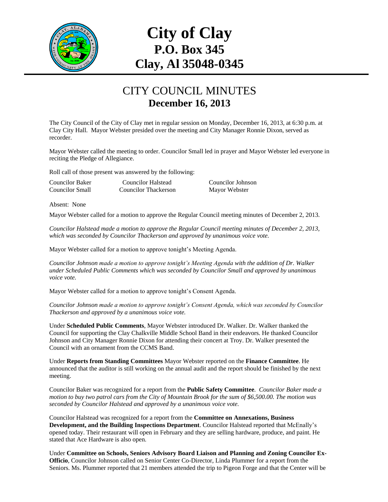

# **City of Clay P.O. Box 345 Clay, Al 35048-0345**

#### CITY COUNCIL MINUTES **December 16, 2013**

The City Council of the City of Clay met in regular session on Monday, December 16, 2013, at 6:30 p.m. at Clay City Hall. Mayor Webster presided over the meeting and City Manager Ronnie Dixon, served as recorder.

Mayor Webster called the meeting to order. Councilor Small led in prayer and Mayor Webster led everyone in reciting the Pledge of Allegiance.

Roll call of those present was answered by the following:

| <b>Councilor Baker</b> | <b>Councilor Halstead</b>   | Councilor Johnson |
|------------------------|-----------------------------|-------------------|
| Councilor Small        | <b>Councilor Thackerson</b> | Mayor Webster     |

Absent: None

Mayor Webster called for a motion to approve the Regular Council meeting minutes of December 2, 2013.

*Councilor Halstead made a motion to approve the Regular Council meeting minutes of December 2, 2013, which was seconded by Councilor Thackerson and approved by unanimous voice vote.*

Mayor Webster called for a motion to approve tonight's Meeting Agenda.

*Councilor Johnson made a motion to approve tonight's Meeting Agenda with the addition of Dr. Walker under Scheduled Public Comments which was seconded by Councilor Small and approved by unanimous voice vote.*

Mayor Webster called for a motion to approve tonight's Consent Agenda.

*Councilor Johnson made a motion to approve tonight's Consent Agenda, which was seconded by Councilor Thackerson and approved by a unanimous voice vote.*

Under **Scheduled Public Comments**, Mayor Webster introduced Dr. Walker. Dr. Walker thanked the Council for supporting the Clay Chalkville Middle School Band in their endeavors. He thanked Councilor Johnson and City Manager Ronnie Dixon for attending their concert at Troy. Dr. Walker presented the Council with an ornament from the CCMS Band.

Under **Reports from Standing Committees** Mayor Webster reported on the **Finance Committee**. He announced that the auditor is still working on the annual audit and the report should be finished by the next meeting.

Councilor Baker was recognized for a report from the **Public Safety Committee**. *Councilor Baker made a motion to buy two patrol cars from the City of Mountain Brook for the sum of \$6,500.00. The motion was seconded by Councilor Halstead and approved by a unanimous voice vote.*

Councilor Halstead was recognized for a report from the **Committee on Annexations, Business Development, and the Building Inspections Department**. Councilor Halstead reported that McEnally's opened today. Their restaurant will open in February and they are selling hardware, produce, and paint. He stated that Ace Hardware is also open.

Under **Committee on Schools, Seniors Advisory Board Liaison and Planning and Zoning Councilor Ex-Officio**, Councilor Johnson called on Senior Center Co-Director, Linda Plummer for a report from the Seniors. Ms. Plummer reported that 21 members attended the trip to Pigeon Forge and that the Center will be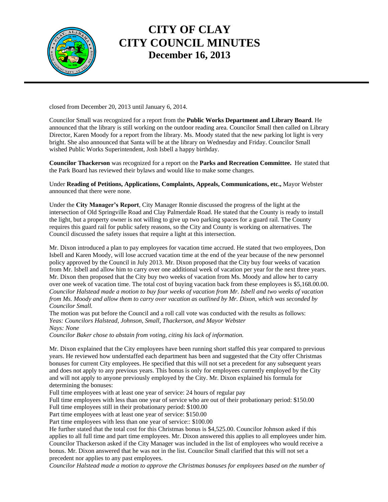

#### **CITY OF CLAY CITY COUNCIL MINUTES December 16, 2013**

closed from December 20, 2013 until January 6, 2014.

Councilor Small was recognized for a report from the **Public Works Department and Library Board**. He announced that the library is still working on the outdoor reading area. Councilor Small then called on Library Director, Karen Moody for a report from the library. Ms. Moody stated that the new parking lot light is very bright. She also announced that Santa will be at the library on Wednesday and Friday. Councilor Small wished Public Works Superintendent, Josh Isbell a happy birthday.

**Councilor Thackerson** was recognized for a report on the **Parks and Recreation Committee.** He stated that the Park Board has reviewed their bylaws and would like to make some changes.

Under **Reading of Petitions, Applications, Complaints, Appeals, Communications, etc.,** Mayor Webster announced that there were none.

Under the **City Manager's Report**, City Manager Ronnie discussed the progress of the light at the intersection of Old Springville Road and Clay Palmerdale Road. He stated that the County is ready to install the light, but a property owner is not willing to give up two parking spaces for a guard rail. The County requires this guard rail for public safety reasons, so the City and County is working on alternatives. The Council discussed the safety issues that require a light at this intersection.

Mr. Dixon introduced a plan to pay employees for vacation time accrued. He stated that two employees, Don Isbell and Karen Moody, will lose accrued vacation time at the end of the year because of the new personnel policy approved by the Council in July 2013. Mr. Dixon proposed that the City buy four weeks of vacation from Mr. Isbell and allow him to carry over one additional week of vacation per year for the next three years. Mr. Dixon then proposed that the City buy two weeks of vacation from Ms. Moody and allow her to carry over one week of vacation time. The total cost of buying vacation back from these employees is \$5,168.00.00. *Councilor Halstead made a motion to buy four weeks of vacation from Mr. Isbell and two weeks of vacation from Ms. Moody and allow them to carry over vacation as outlined by Mr. Dixon, which was seconded by Councilor Small.*

The motion was put before the Council and a roll call vote was conducted with the results as follows: *Yeas: Councilors Halstead, Johnson, Small, Thackerson, and Mayor Webster Nays: None*

*Councilor Baker chose to abstain from voting, citing his lack of information.*

Mr. Dixon explained that the City employees have been running short staffed this year compared to previous years. He reviewed how understaffed each department has been and suggested that the City offer Christmas bonuses for current City employees. He specified that this will not set a precedent for any subsequent years and does not apply to any previous years. This bonus is only for employees currently employed by the City and will not apply to anyone previously employed by the City. Mr. Dixon explained his formula for determining the bonuses:

Full time employees with at least one year of service: 24 hours of regular pay

Full time employees with less than one year of service who are out of their probationary period: \$150.00 Full time employees still in their probationary period: \$100.00

Part time employees with at least one year of service: \$150.00

Part time employees with less than one year of service:: \$100.00

He further stated that the total cost for this Christmas bonus is \$4,525.00. Councilor Johnson asked if this applies to all full time and part time employees. Mr. Dixon answered this applies to all employees under him. Councilor Thackerson asked if the City Manager was included in the list of employees who would receive a bonus. Mr. Dixon answered that he was not in the list. Councilor Small clarified that this will not set a precedent nor applies to any past employees.

*Councilor Halstead made a motion to approve the Christmas bonuses for employees based on the number of*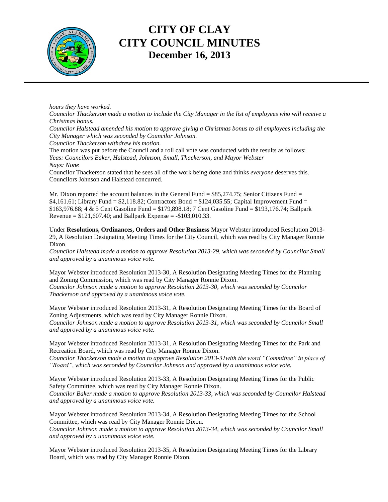

## **CITY OF CLAY CITY COUNCIL MINUTES December 16, 2013**

*hours they have worked.* 

*Councilor Thackerson made a motion to include the City Manager in the list of employees who will receive a Christmas bonus.*

*Councilor Halstead amended his motion to approve giving a Christmas bonus to all employees including the City Manager which was seconded by Councilor Johnson.*

*Councilor Thackerson withdrew his motion.*

The motion was put before the Council and a roll call vote was conducted with the results as follows: *Yeas: Councilors Baker, Halstead, Johnson, Small, Thackerson, and Mayor Webster Nays: None*

Councilor Thackerson stated that he sees all of the work being done and thinks *everyone* deserves this. Councilors Johnson and Halstead concurred.

Mr. Dixon reported the account balances in the General Fund  $=$  \$85,274.75; Senior Citizens Fund  $=$  $$4,161.61;$  Library Fund =  $$2,118.82;$  Contractors Bond =  $$124,035.55;$  Capital Improvement Fund = \$163,976.88; 4 & 5 Cent Gasoline Fund = \$179,898.18; 7 Cent Gasoline Fund = \$193,176.74; Ballpark Revenue =  $$121,607.40$ ; and Ballpark Expense =  $-$103,010.33$ .

Under **Resolutions, Ordinances, Orders and Other Business** Mayor Webster introduced Resolution 2013- 29, A Resolution Designating Meeting Times for the City Council, which was read by City Manager Ronnie Dixon.

*Councilor Halstead made a motion to approve Resolution 2013-29, which was seconded by Councilor Small and approved by a unanimous voice vote.*

Mayor Webster introduced Resolution 2013-30, A Resolution Designating Meeting Times for the Planning and Zoning Commission, which was read by City Manager Ronnie Dixon. *Councilor Johnson made a motion to approve Resolution 2013-30, which was seconded by Councilor Thackerson and approved by a unanimous voice vote.*

Mayor Webster introduced Resolution 2013-31, A Resolution Designating Meeting Times for the Board of Zoning Adjustments, which was read by City Manager Ronnie Dixon.

*Councilor Johnson made a motion to approve Resolution 2013-31, which was seconded by Councilor Small and approved by a unanimous voice vote.*

Mayor Webster introduced Resolution 2013-31, A Resolution Designating Meeting Times for the Park and Recreation Board, which was read by City Manager Ronnie Dixon.

*Councilor Thackerson made a motion to approve Resolution 2013-31with the word "Committee" in place of "Board", which was seconded by Councilor Johnson and approved by a unanimous voice vote.*

Mayor Webster introduced Resolution 2013-33, A Resolution Designating Meeting Times for the Public Safety Committee, which was read by City Manager Ronnie Dixon. *Councilor Baker made a motion to approve Resolution 2013-33, which was seconded by Councilor Halstead and approved by a unanimous voice vote.*

Mayor Webster introduced Resolution 2013-34, A Resolution Designating Meeting Times for the School Committee, which was read by City Manager Ronnie Dixon.

*Councilor Johnson made a motion to approve Resolution 2013-34, which was seconded by Councilor Small and approved by a unanimous voice vote.*

Mayor Webster introduced Resolution 2013-35, A Resolution Designating Meeting Times for the Library Board, which was read by City Manager Ronnie Dixon.